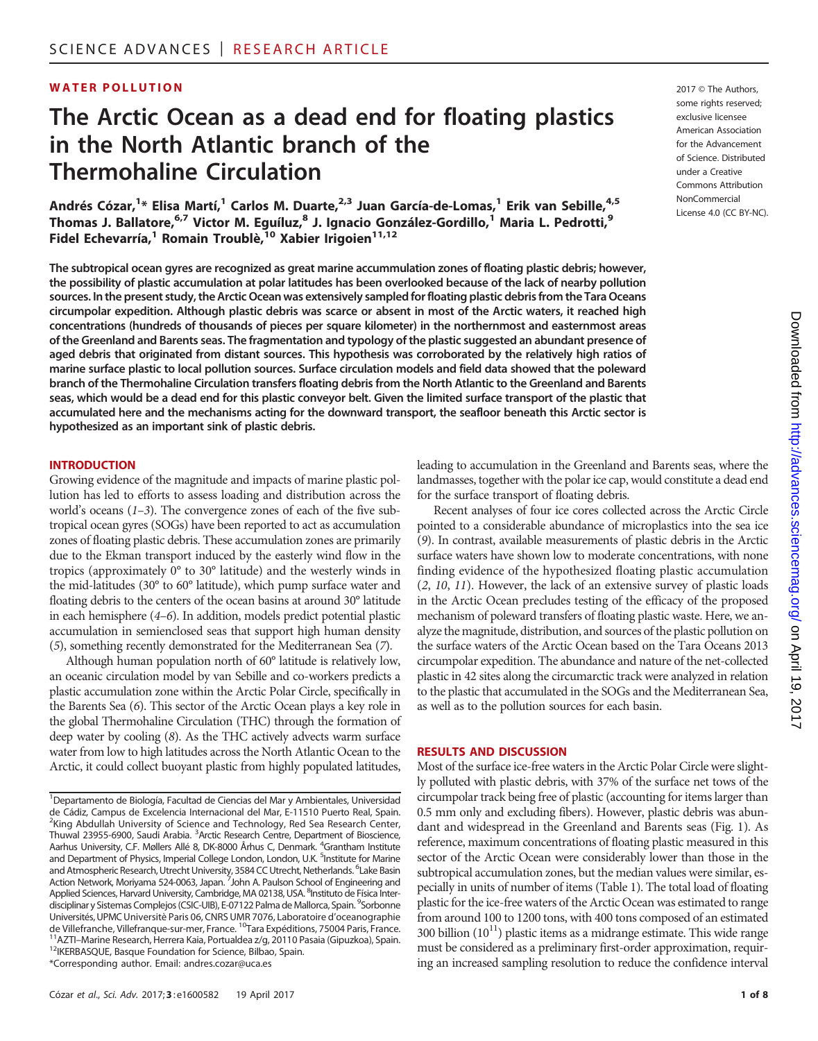# **WATER POLLUTION** 2017 CHEAUTHOR

# The Arctic Ocean as a dead end for floating plastics in the North Atlantic branch of the Thermohaline Circulation

Andrés Cózar,<sup>1</sup>\* Elisa Martí,<sup>1</sup> Carlos M. Duarte,<sup>2,3</sup> Juan García-de-Lomas,<sup>1</sup> Erik van Sebille,<sup>4,5</sup> Thomas J. Ballatore,<sup>6,7</sup> Victor M. Eguíluz,<sup>8</sup> J. Ignacio González-Gordillo,<sup>1</sup> Maria L. Pedrotti,<sup>9</sup> Fidel Echevarría,<sup>1</sup> Romain Troublè,<sup>10</sup> Xabier Irigoien<sup>11,12</sup>

The subtropical ocean gyres are recognized as great marine accummulation zones of floating plastic debris; however, the possibility of plastic accumulation at polar latitudes has been overlooked because of the lack of nearby pollution sources. In the present study, the Arctic Ocean was extensively sampled for floating plastic debris from the Tara Oceans circumpolar expedition. Although plastic debris was scarce or absent in most of the Arctic waters, it reached high concentrations (hundreds of thousands of pieces per square kilometer) in the northernmost and easternmost areas of the Greenland and Barents seas. The fragmentation and typology of the plastic suggested an abundant presence of aged debris that originated from distant sources. This hypothesis was corroborated by the relatively high ratios of marine surface plastic to local pollution sources. Surface circulation models and field data showed that the poleward branch of the Thermohaline Circulation transfers floating debris from the North Atlantic to the Greenland and Barents seas, which would be a dead end for this plastic conveyor belt. Given the limited surface transport of the plastic that accumulated here and the mechanisms acting for the downward transport, the seafloor beneath this Arctic sector is hypothesized as an important sink of plastic debris.

#### INTRODUCTION

Growing evidence of the magnitude and impacts of marine plastic pollution has led to efforts to assess loading and distribution across the world's oceans  $(1-3)$ . The convergence zones of each of the five subtropical ocean gyres (SOGs) have been reported to act as accumulation zones of floating plastic debris. These accumulation zones are primarily due to the Ekman transport induced by the easterly wind flow in the tropics (approximately 0° to 30° latitude) and the westerly winds in the mid-latitudes (30° to 60° latitude), which pump surface water and floating debris to the centers of the ocean basins at around 30° latitude in each hemisphere (4–6). In addition, models predict potential plastic accumulation in semienclosed seas that support high human density (5), something recently demonstrated for the Mediterranean Sea (7).

Although human population north of 60° latitude is relatively low, an oceanic circulation model by van Sebille and co-workers predicts a plastic accumulation zone within the Arctic Polar Circle, specifically in the Barents Sea (6). This sector of the Arctic Ocean plays a key role in the global Thermohaline Circulation (THC) through the formation of deep water by cooling (8). As the THC actively advects warm surface water from low to high latitudes across the North Atlantic Ocean to the Arctic, it could collect buoyant plastic from highly populated latitudes,

leading to accumulation in the Greenland and Barents seas, where the landmasses, together with the polar ice cap, would constitute a dead end for the surface transport of floating debris.

Recent analyses of four ice cores collected across the Arctic Circle pointed to a considerable abundance of microplastics into the sea ice (9). In contrast, available measurements of plastic debris in the Arctic surface waters have shown low to moderate concentrations, with none finding evidence of the hypothesized floating plastic accumulation (2, 10, 11). However, the lack of an extensive survey of plastic loads in the Arctic Ocean precludes testing of the efficacy of the proposed mechanism of poleward transfers of floating plastic waste. Here, we analyze the magnitude, distribution, and sources of the plastic pollution on the surface waters of the Arctic Ocean based on the Tara Oceans 2013 circumpolar expedition. The abundance and nature of the net-collected plastic in 42 sites along the circumarctic track were analyzed in relation to the plastic that accumulated in the SOGs and the Mediterranean Sea, as well as to the pollution sources for each basin.

#### RESULTS AND DISCUSSION

Most of the surface ice-free waters in the Arctic Polar Circle were slightly polluted with plastic debris, with 37% of the surface net tows of the circumpolar track being free of plastic (accounting for items larger than 0.5 mm only and excluding fibers). However, plastic debris was abundant and widespread in the Greenland and Barents seas (Fig. 1). As reference, maximum concentrations of floating plastic measured in this sector of the Arctic Ocean were considerably lower than those in the subtropical accumulation zones, but the median values were similar, especially in units of number of items (Table 1). The total load of floating plastic for the ice-free waters of the Arctic Ocean was estimated to range from around 100 to 1200 tons, with 400 tons composed of an estimated 300 billion  $(10^{11})$  plastic items as a midrange estimate. This wide range must be considered as a preliminary first-order approximation, requiring an increased sampling resolution to reduce the confidence interval

some rights reserved; exclusive licensee American Association for the Advancement of Science. Distributed under a Creative Commons Attribution NonCommercial License 4.0 (CC BY-NC).

<sup>&</sup>lt;sup>1</sup>Departamento de Biología, Facultad de Ciencias del Mar y Ambientales, Universidad de Cádiz, Campus de Excelencia Internacional del Mar, E-11510 Puerto Real, Spain. <sup>2</sup>King Abdullah University of Science and Technology, Red Sea Research Center, Thuwal 23955-6900, Saudi Arabia. <sup>3</sup>Arctic Research Centre, Department of Bioscience, Aarhus University, C.F. Møllers Allé 8, DK-8000 Århus C, Denmark. <sup>4</sup>Grantham Institute and Department of Physics, Imperial College London, London, U.K. <sup>5</sup>Institute for Marine and Atmospheric Research, Utrecht University, 3584 CC Utrecht, Netherlands. <sup>6</sup>Lake Basin Action Network, Moriyama 524-0063, Japan. <sup>7</sup>John A. Paulson School of Engineering and Applied Sciences, Harvard University, Cambridge, MA 02138, USA. <sup>8</sup>Instituto de Física Interdisciplinar y Sistemas Complejos (CSIC-UIB), E-07122 Palma de Mallorca, Spain. <sup>9</sup>Sorbonne Universités, UPMC Universitè Paris 06, CNRS UMR 7076, Laboratoire d'oceanographie de Villefranche, Villefranque-sur-mer, France. <sup>10</sup>Tara Expéditions, 75004 Paris, France.<br><sup>11</sup>AZTI-Marine Research, Herrera Kaia, Portualdea z/g, 20110 Pasaia (Gipuzkoa), Spain.<br><sup>12</sup>IKERBASQUE, Basque Foundation for Scienc \*Corresponding author. Email: andres.cozar@uca.es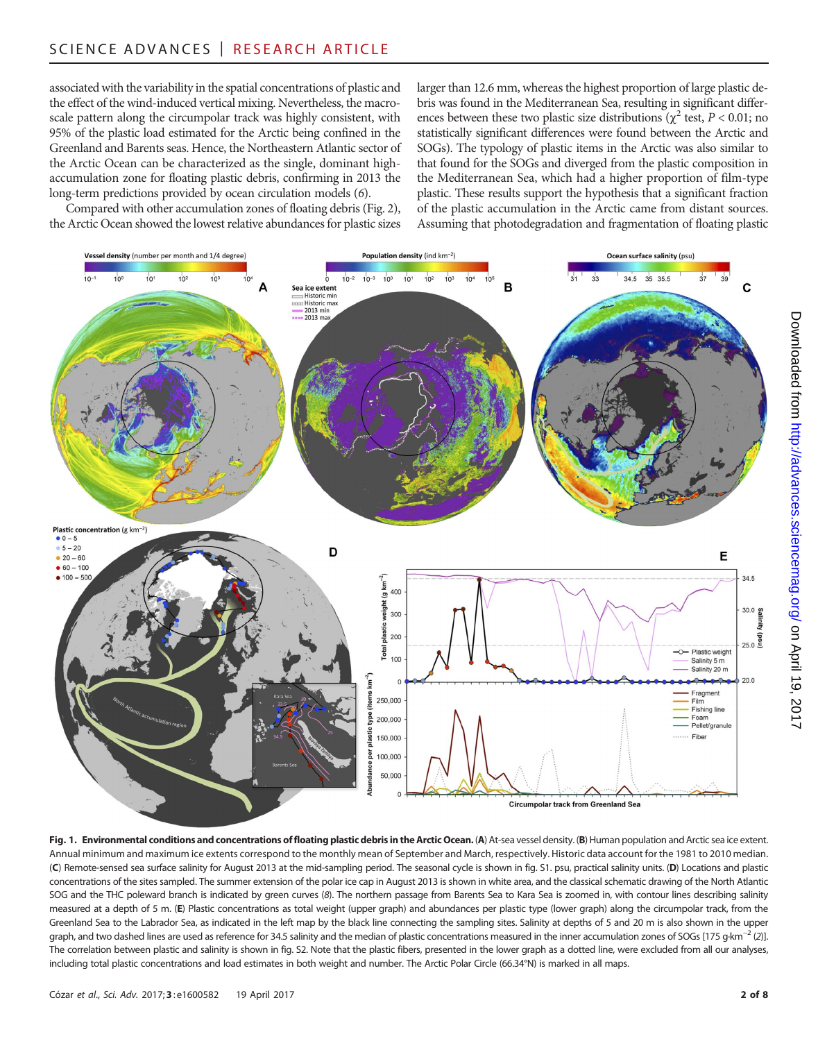associated with the variability in the spatial concentrations of plastic and the effect of the wind-induced vertical mixing. Nevertheless, the macroscale pattern along the circumpolar track was highly consistent, with 95% of the plastic load estimated for the Arctic being confined in the Greenland and Barents seas. Hence, the Northeastern Atlantic sector of the Arctic Ocean can be characterized as the single, dominant highaccumulation zone for floating plastic debris, confirming in 2013 the long-term predictions provided by ocean circulation models (6).

Compared with other accumulation zones of floating debris (Fig. 2), the Arctic Ocean showed the lowest relative abundances for plastic sizes larger than 12.6 mm, whereas the highest proportion of large plastic debris was found in the Mediterranean Sea, resulting in significant differences between these two plastic size distributions ( $\chi^2$  test,  $P < 0.01$ ; no statistically significant differences were found between the Arctic and SOGs). The typology of plastic items in the Arctic was also similar to that found for the SOGs and diverged from the plastic composition in the Mediterranean Sea, which had a higher proportion of film-type plastic. These results support the hypothesis that a significant fraction of the plastic accumulation in the Arctic came from distant sources. Assuming that photodegradation and fragmentation of floating plastic



Fig. 1. Environmental conditions and concentrations of floating plastic debris in the Arctic Ocean. (A) At-sea vessel density. (B) Human population and Arctic sea ice extent. Annual minimum and maximum ice extents correspond to the monthly mean of September and March, respectively. Historic data account for the 1981 to 2010 median. (C) Remote-sensed sea surface salinity for August 2013 at the mid-sampling period. The seasonal cycle is shown in fig. S1. psu, practical salinity units. (D) Locations and plastic concentrations of the sites sampled. The summer extension of the polar ice cap in August 2013 is shown in white area, and the classical schematic drawing of the North Atlantic SOG and the THC poleward branch is indicated by green curves (8). The northern passage from Barents Sea to Kara Sea is zoomed in, with contour lines describing salinity measured at a depth of 5 m. (E) Plastic concentrations as total weight (upper graph) and abundances per plastic type (lower graph) along the circumpolar track, from the Greenland Sea to the Labrador Sea, as indicated in the left map by the black line connecting the sampling sites. Salinity at depths of 5 and 20 m is also shown in the upper graph, and two dashed lines are used as reference for 34.5 salinity and the median of plastic concentrations measured in the inner accumulation zones of SOGs [175 g·km<sup>-2</sup> (2)]. The correlation between plastic and salinity is shown in fig. S2. Note that the plastic fibers, presented in the lower graph as a dotted line, were excluded from all our analyses, including total plastic concentrations and load estimates in both weight and number. The Arctic Polar Circle (66.34°N) is marked in all maps.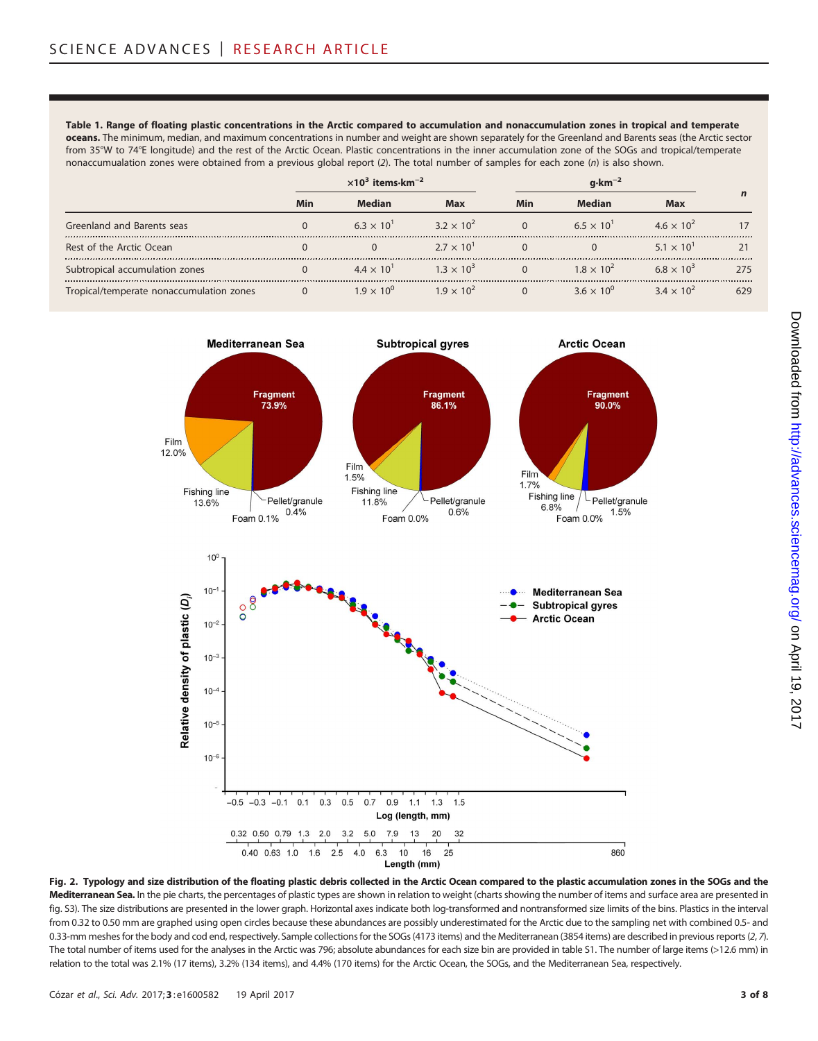Table 1. Range of floating plastic concentrations in the Arctic compared to accumulation and nonaccumulation zones in tropical and temperate oceans. The minimum, median, and maximum concentrations in number and weight are shown separately for the Greenland and Barents seas (the Arctic sector from 35°W to 74°E longitude) and the rest of the Arctic Ocean. Plastic concentrations in the inner accumulation zone of the SOGs and tropical/temperate nonaccumualation zones were obtained from a previous global report (2). The total number of samples for each zone (n) is also shown.

|                                          |     | $\times 10^{3}$ items $\cdot$ km <sup>-2</sup> |                     |     |                     |                     |     |
|------------------------------------------|-----|------------------------------------------------|---------------------|-----|---------------------|---------------------|-----|
|                                          | Min | Median                                         | <b>Max</b>          | Min | Median              | Max                 |     |
| Greenland and Barents seas               |     | $6.3 \times 10^{1}$                            | $3.2 \times 10^{2}$ |     | $6.5 \times 10^{1}$ | $4.6 \times 10^{2}$ |     |
| Rest of the Arctic Ocean                 |     |                                                | $2.7 \times 10^{1}$ |     |                     | $5.1 \times 10^{1}$ |     |
| Subtropical accumulation zones           |     | $4.4 \times 10^{1}$                            | $1.3 \times 10^{3}$ |     | $1.8 \times 10^{2}$ | $6.8 \times 10^{3}$ | 275 |
| Tropical/temperate nonaccumulation zones |     | 1 Q $\times$ 10 <sup>0</sup>                   | $19 \times 10^{2}$  |     | $36 \times 10^{0}$  | $3.4 \times 10^{2}$ | 629 |



Fig. 2. Typology and size distribution of the floating plastic debris collected in the Arctic Ocean compared to the plastic accumulation zones in the SOGs and the Mediterranean Sea. In the pie charts, the percentages of plastic types are shown in relation to weight (charts showing the number of items and surface area are presented in fig. S3). The size distributions are presented in the lower graph. Horizontal axes indicate both log-transformed and nontransformed size limits of the bins. Plastics in the interval from 0.32 to 0.50 mm are graphed using open circles because these abundances are possibly underestimated for the Arctic due to the sampling net with combined 0.5- and 0.33-mm meshes for the body and cod end, respectively. Sample collections for the SOGs (4173 items) and the Mediterranean (3854 items) are described in previous reports (2, 7). The total number of items used for the analyses in the Arctic was 796; absolute abundances for each size bin are provided in table S1. The number of large items (>12.6 mm) in relation to the total was 2.1% (17 items), 3.2% (134 items), and 4.4% (170 items) for the Arctic Ocean, the SOGs, and the Mediterranean Sea, respectively.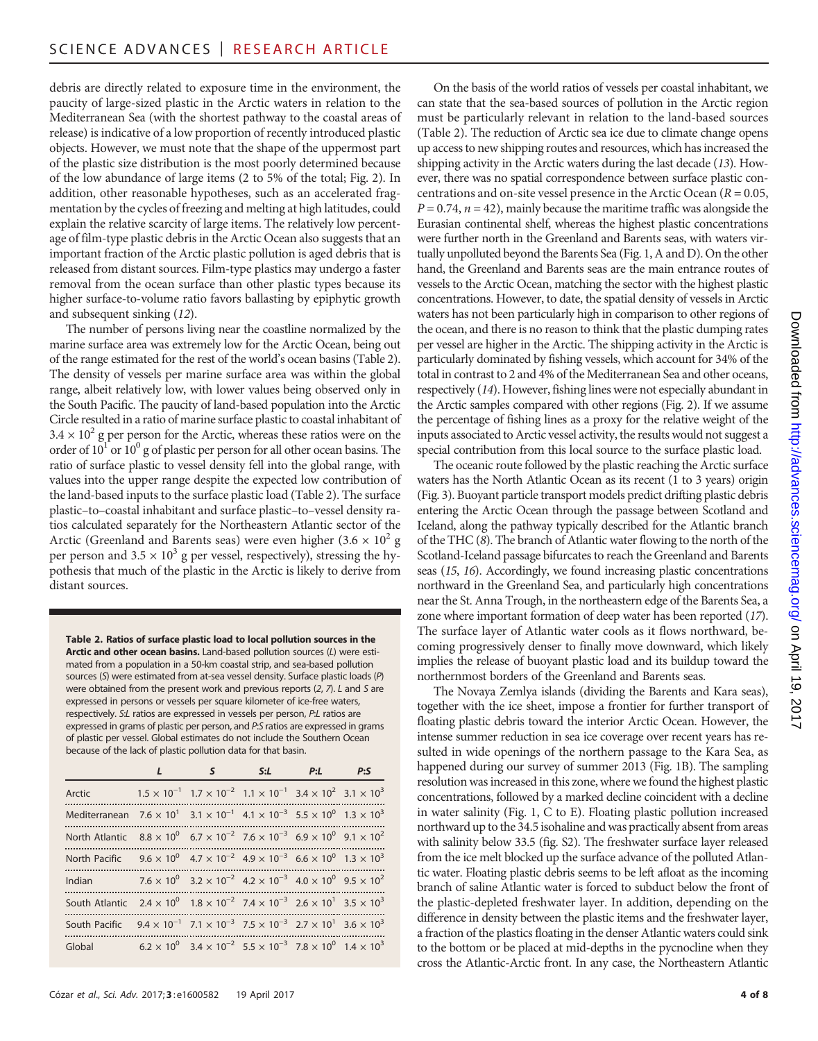debris are directly related to exposure time in the environment, the paucity of large-sized plastic in the Arctic waters in relation to the Mediterranean Sea (with the shortest pathway to the coastal areas of release) is indicative of a low proportion of recently introduced plastic objects. However, we must note that the shape of the uppermost part of the plastic size distribution is the most poorly determined because of the low abundance of large items (2 to 5% of the total; Fig. 2). In addition, other reasonable hypotheses, such as an accelerated fragmentation by the cycles of freezing and melting at high latitudes, could explain the relative scarcity of large items. The relatively low percentage of film-type plastic debris in the Arctic Ocean also suggests that an important fraction of the Arctic plastic pollution is aged debris that is released from distant sources. Film-type plastics may undergo a faster removal from the ocean surface than other plastic types because its higher surface-to-volume ratio favors ballasting by epiphytic growth and subsequent sinking (12).

The number of persons living near the coastline normalized by the marine surface area was extremely low for the Arctic Ocean, being out of the range estimated for the rest of the world's ocean basins (Table 2). The density of vessels per marine surface area was within the global range, albeit relatively low, with lower values being observed only in the South Pacific. The paucity of land-based population into the Arctic Circle resulted in a ratio of marine surface plastic to coastal inhabitant of  $3.4 \times 10^2$  g per person for the Arctic, whereas these ratios were on the order of  $10<sup>1</sup>$  or  $10<sup>0</sup>$  g of plastic per person for all other ocean basins. The ratio of surface plastic to vessel density fell into the global range, with values into the upper range despite the expected low contribution of the land-based inputs to the surface plastic load (Table 2). The surface plastic–to–coastal inhabitant and surface plastic–to–vessel density ratios calculated separately for the Northeastern Atlantic sector of the Arctic (Greenland and Barents seas) were even higher  $(3.6 \times 10^2 \text{ g})$ per person and 3.5  $\times$  10<sup>3</sup> g per vessel, respectively), stressing the hypothesis that much of the plastic in the Arctic is likely to derive from distant sources.

Table 2. Ratios of surface plastic load to local pollution sources in the Arctic and other ocean basins. Land-based pollution sources (L) were estimated from a population in a 50-km coastal strip, and sea-based pollution sources (S) were estimated from at-sea vessel density. Surface plastic loads (P) were obtained from the present work and previous reports (2, 7). L and S are expressed in persons or vessels per square kilometer of ice-free waters, respectively. S:L ratios are expressed in vessels per person, P:L ratios are expressed in grams of plastic per person, and P:S ratios are expressed in grams of plastic per vessel. Global estimates do not include the Southern Ocean because of the lack of plastic pollution data for that basin.

|                                                                                                                      | s                                                                                                      | S:L | P: L | P:5 |
|----------------------------------------------------------------------------------------------------------------------|--------------------------------------------------------------------------------------------------------|-----|------|-----|
| Arctic                                                                                                               | $1.5 \times 10^{-1}$ $1.7 \times 10^{-2}$ $1.1 \times 10^{-1}$ $3.4 \times 10^{2}$ $3.1 \times 10^{3}$ |     |      |     |
| Mediterranean $7.6 \times 10^{1}$ $3.1 \times 10^{-1}$ $4.1 \times 10^{-3}$ $5.5 \times 10^{0}$ $1.3 \times 10^{3}$  |                                                                                                        |     |      |     |
| North Atlantic $8.8 \times 10^{0}$ 6.7 $\times 10^{-2}$ 7.6 $\times 10^{-3}$ 6.9 $\times 10^{0}$ 9.1 $\times 10^{2}$ |                                                                                                        |     |      |     |
| North Pacific $9.6 \times 10^{0}$ $4.7 \times 10^{-2}$ $4.9 \times 10^{-3}$ $6.6 \times 10^{0}$ $1.3 \times 10^{3}$  |                                                                                                        |     |      |     |
| Indian                                                                                                               | $7.6 \times 10^{0}$ $3.2 \times 10^{-2}$ $4.2 \times 10^{-3}$ $4.0 \times 10^{0}$ $9.5 \times 10^{2}$  |     |      |     |
| South Atlantic $2.4 \times 10^{0}$ $1.8 \times 10^{-2}$ $7.4 \times 10^{-3}$ $2.6 \times 10^{1}$ $3.5 \times 10^{3}$ |                                                                                                        |     |      |     |
| South Pacific $9.4 \times 10^{-1}$ $7.1 \times 10^{-3}$ $7.5 \times 10^{-3}$ $2.7 \times 10^{1}$ $3.6 \times 10^{3}$ |                                                                                                        |     |      |     |
| Global                                                                                                               | $6.2 \times 10^{0}$ $3.4 \times 10^{-2}$ $5.5 \times 10^{-3}$ $7.8 \times 10^{0}$ $1.4 \times 10^{3}$  |     |      |     |

On the basis of the world ratios of vessels per coastal inhabitant, we can state that the sea-based sources of pollution in the Arctic region must be particularly relevant in relation to the land-based sources (Table 2). The reduction of Arctic sea ice due to climate change opens up access to new shipping routes and resources, which has increased the shipping activity in the Arctic waters during the last decade (13). However, there was no spatial correspondence between surface plastic concentrations and on-site vessel presence in the Arctic Ocean ( $R = 0.05$ ,  $P = 0.74$ ,  $n = 42$ ), mainly because the maritime traffic was alongside the Eurasian continental shelf, whereas the highest plastic concentrations were further north in the Greenland and Barents seas, with waters virtually unpolluted beyond the Barents Sea (Fig. 1, A and D). On the other hand, the Greenland and Barents seas are the main entrance routes of vessels to the Arctic Ocean, matching the sector with the highest plastic concentrations. However, to date, the spatial density of vessels in Arctic waters has not been particularly high in comparison to other regions of the ocean, and there is no reason to think that the plastic dumping rates per vessel are higher in the Arctic. The shipping activity in the Arctic is particularly dominated by fishing vessels, which account for 34% of the total in contrast to 2 and 4% of the Mediterranean Sea and other oceans, respectively (14). However, fishing lines were not especially abundant in the Arctic samples compared with other regions (Fig. 2). If we assume the percentage of fishing lines as a proxy for the relative weight of the inputs associated to Arctic vessel activity, the results would not suggest a special contribution from this local source to the surface plastic load.

The oceanic route followed by the plastic reaching the Arctic surface waters has the North Atlantic Ocean as its recent (1 to 3 years) origin (Fig. 3). Buoyant particle transport models predict drifting plastic debris entering the Arctic Ocean through the passage between Scotland and Iceland, along the pathway typically described for the Atlantic branch of the THC (8). The branch of Atlantic water flowing to the north of the Scotland-Iceland passage bifurcates to reach the Greenland and Barents seas (15, 16). Accordingly, we found increasing plastic concentrations northward in the Greenland Sea, and particularly high concentrations near the St. Anna Trough, in the northeastern edge of the Barents Sea, a zone where important formation of deep water has been reported (17). The surface layer of Atlantic water cools as it flows northward, becoming progressively denser to finally move downward, which likely implies the release of buoyant plastic load and its buildup toward the northernmost borders of the Greenland and Barents seas.

The Novaya Zemlya islands (dividing the Barents and Kara seas), together with the ice sheet, impose a frontier for further transport of floating plastic debris toward the interior Arctic Ocean. However, the intense summer reduction in sea ice coverage over recent years has resulted in wide openings of the northern passage to the Kara Sea, as happened during our survey of summer 2013 (Fig. 1B). The sampling resolution was increased in this zone, where we found the highest plastic concentrations, followed by a marked decline coincident with a decline in water salinity (Fig. 1, C to E). Floating plastic pollution increased northward up to the 34.5 isohaline and was practically absent from areas with salinity below 33.5 (fig. S2). The freshwater surface layer released from the ice melt blocked up the surface advance of the polluted Atlantic water. Floating plastic debris seems to be left afloat as the incoming branch of saline Atlantic water is forced to subduct below the front of the plastic-depleted freshwater layer. In addition, depending on the difference in density between the plastic items and the freshwater layer, a fraction of the plastics floating in the denser Atlantic waters could sink to the bottom or be placed at mid-depths in the pycnocline when they cross the Atlantic-Arctic front. In any case, the Northeastern Atlantic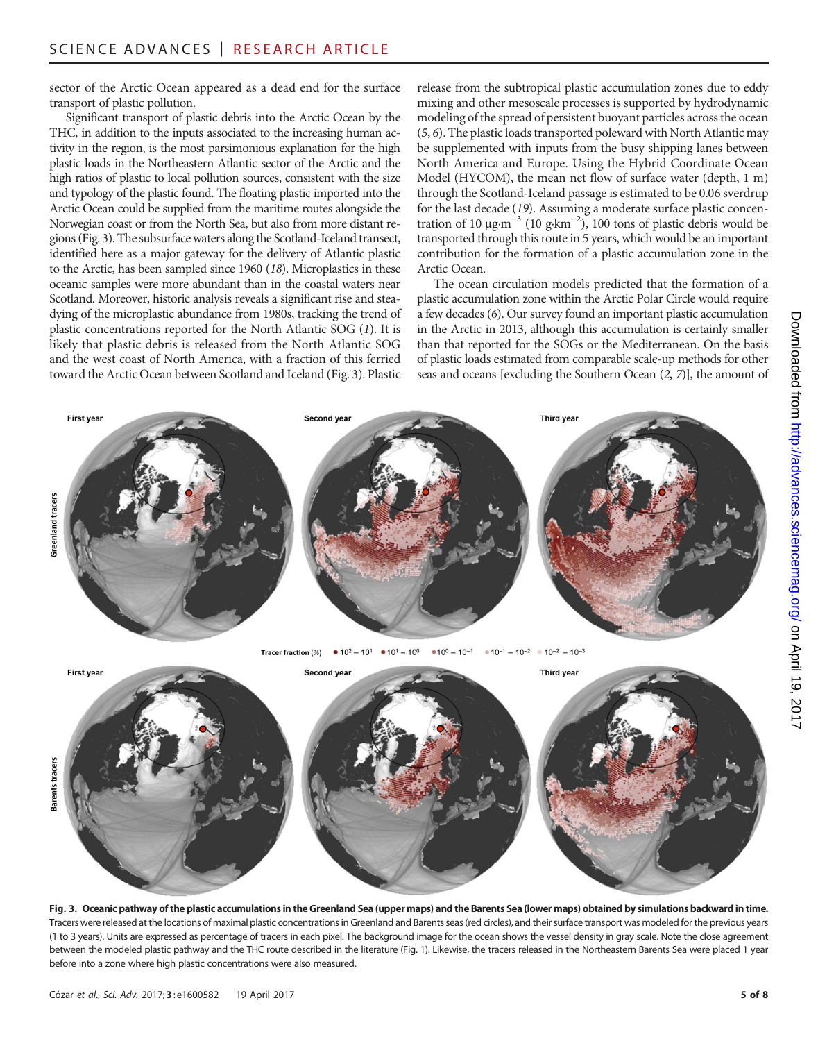sector of the Arctic Ocean appeared as a dead end for the surface transport of plastic pollution.

Significant transport of plastic debris into the Arctic Ocean by the THC, in addition to the inputs associated to the increasing human activity in the region, is the most parsimonious explanation for the high plastic loads in the Northeastern Atlantic sector of the Arctic and the high ratios of plastic to local pollution sources, consistent with the size and typology of the plastic found. The floating plastic imported into the Arctic Ocean could be supplied from the maritime routes alongside the Norwegian coast or from the North Sea, but also from more distant regions (Fig. 3). The subsurface waters along the Scotland-Iceland transect, identified here as a major gateway for the delivery of Atlantic plastic to the Arctic, has been sampled since 1960 (18). Microplastics in these oceanic samples were more abundant than in the coastal waters near Scotland. Moreover, historic analysis reveals a significant rise and steadying of the microplastic abundance from 1980s, tracking the trend of plastic concentrations reported for the North Atlantic SOG (1). It is likely that plastic debris is released from the North Atlantic SOG and the west coast of North America, with a fraction of this ferried toward the Arctic Ocean between Scotland and Iceland (Fig. 3). Plastic

release from the subtropical plastic accumulation zones due to eddy mixing and other mesoscale processes is supported by hydrodynamic modeling of the spread of persistent buoyant particles across the ocean (5, 6). The plastic loads transported poleward with North Atlantic may be supplemented with inputs from the busy shipping lanes between North America and Europe. Using the Hybrid Coordinate Ocean Model (HYCOM), the mean net flow of surface water (depth, 1 m) through the Scotland-Iceland passage is estimated to be 0.06 sverdrup for the last decade (19). Assuming a moderate surface plastic concentration of 10  $\mu$ g·m<sup>-3</sup> (10 g·km<sup>-2</sup>), 100 tons of plastic debris would be transported through this route in 5 years, which would be an important contribution for the formation of a plastic accumulation zone in the Arctic Ocean.

The ocean circulation models predicted that the formation of a plastic accumulation zone within the Arctic Polar Circle would require a few decades (6). Our survey found an important plastic accumulation in the Arctic in 2013, although this accumulation is certainly smaller than that reported for the SOGs or the Mediterranean. On the basis of plastic loads estimated from comparable scale-up methods for other seas and oceans [excluding the Southern Ocean (2, 7)], the amount of



First year Second yea **Third year** sarents tracer

Fig. 3. Oceanic pathway of the plastic accumulations in the Greenland Sea (upper maps) and the Barents Sea (lower maps) obtained by simulations backward in time. Tracers were released at the locations of maximal plastic concentrations in Greenland and Barents seas (red circles), and their surface transport was modeled for the previous years (1 to 3 years). Units are expressed as percentage of tracers in each pixel. The background image for the ocean shows the vessel density in gray scale. Note the close agreement between the modeled plastic pathway and the THC route described in the literature (Fig. 1). Likewise, the tracers released in the Northeastern Barents Sea were placed 1 year before into a zone where high plastic concentrations were also measured.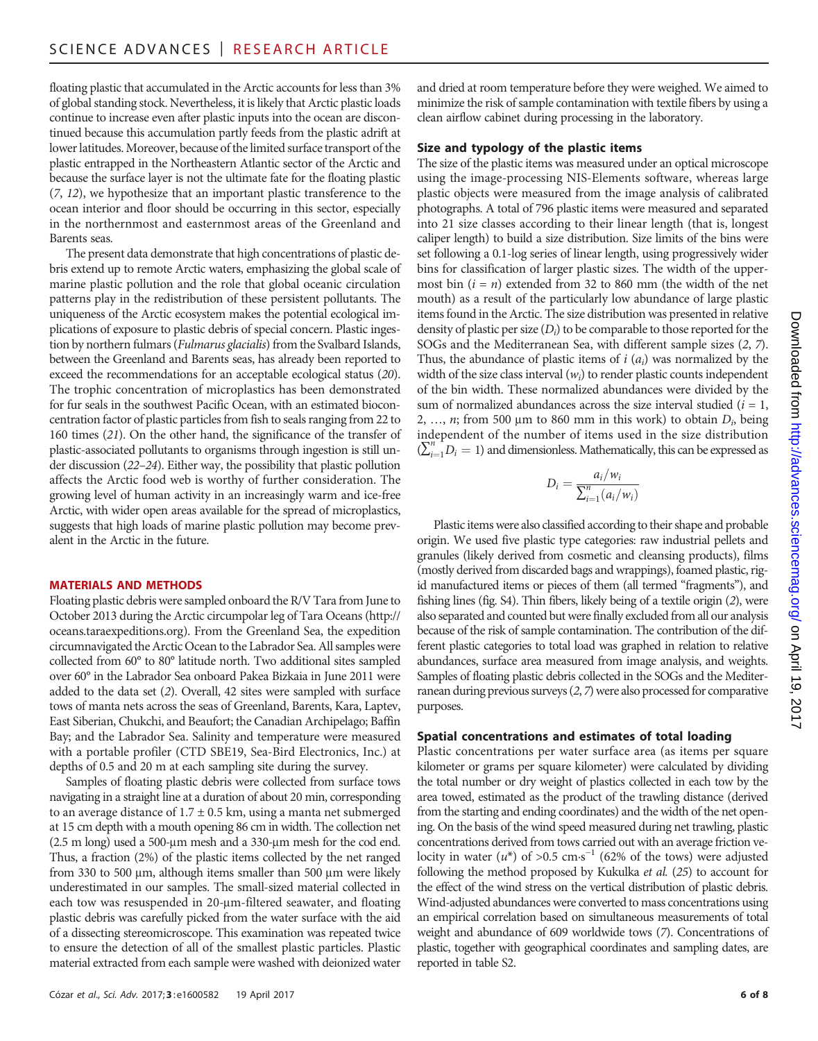floating plastic that accumulated in the Arctic accounts for less than 3% of global standing stock. Nevertheless, it is likely that Arctic plastic loads continue to increase even after plastic inputs into the ocean are discontinued because this accumulation partly feeds from the plastic adrift at lower latitudes. Moreover, because of the limited surface transport of the plastic entrapped in the Northeastern Atlantic sector of the Arctic and because the surface layer is not the ultimate fate for the floating plastic (7, 12), we hypothesize that an important plastic transference to the ocean interior and floor should be occurring in this sector, especially in the northernmost and easternmost areas of the Greenland and Barents seas.

The present data demonstrate that high concentrations of plastic debris extend up to remote Arctic waters, emphasizing the global scale of marine plastic pollution and the role that global oceanic circulation patterns play in the redistribution of these persistent pollutants. The uniqueness of the Arctic ecosystem makes the potential ecological implications of exposure to plastic debris of special concern. Plastic ingestion by northern fulmars (Fulmarus glacialis) from the Svalbard Islands, between the Greenland and Barents seas, has already been reported to exceed the recommendations for an acceptable ecological status (20). The trophic concentration of microplastics has been demonstrated for fur seals in the southwest Pacific Ocean, with an estimated bioconcentration factor of plastic particles from fish to seals ranging from 22 to 160 times (21). On the other hand, the significance of the transfer of plastic-associated pollutants to organisms through ingestion is still under discussion (22–24). Either way, the possibility that plastic pollution affects the Arctic food web is worthy of further consideration. The growing level of human activity in an increasingly warm and ice-free Arctic, with wider open areas available for the spread of microplastics, suggests that high loads of marine plastic pollution may become prevalent in the Arctic in the future.

#### MATERIALS AND METHODS

Floating plastic debris were sampled onboard the R/V Tara from June to October 2013 during the Arctic circumpolar leg of Tara Oceans [\(http://](http://oceans.taraexpeditions.org) [oceans.taraexpeditions.org](http://oceans.taraexpeditions.org)). From the Greenland Sea, the expedition circumnavigated the Arctic Ocean to the Labrador Sea. All samples were collected from 60° to 80° latitude north. Two additional sites sampled over 60° in the Labrador Sea onboard Pakea Bizkaia in June 2011 were added to the data set (2). Overall, 42 sites were sampled with surface tows of manta nets across the seas of Greenland, Barents, Kara, Laptev, East Siberian, Chukchi, and Beaufort; the Canadian Archipelago; Baffin Bay; and the Labrador Sea. Salinity and temperature were measured with a portable profiler (CTD SBE19, Sea-Bird Electronics, Inc.) at depths of 0.5 and 20 m at each sampling site during the survey.

Samples of floating plastic debris were collected from surface tows navigating in a straight line at a duration of about 20 min, corresponding to an average distance of  $1.7 \pm 0.5$  km, using a manta net submerged at 15 cm depth with a mouth opening 86 cm in width. The collection net  $(2.5 \text{ m long})$  used a 500-µm mesh and a 330-µm mesh for the cod end. Thus, a fraction (2%) of the plastic items collected by the net ranged from 330 to 500  $\mu$ m, although items smaller than 500  $\mu$ m were likely underestimated in our samples. The small-sized material collected in each tow was resuspended in 20-µm-filtered seawater, and floating plastic debris was carefully picked from the water surface with the aid of a dissecting stereomicroscope. This examination was repeated twice to ensure the detection of all of the smallest plastic particles. Plastic material extracted from each sample were washed with deionized water

and dried at room temperature before they were weighed. We aimed to minimize the risk of sample contamination with textile fibers by using a clean airflow cabinet during processing in the laboratory.

#### Size and typology of the plastic items

The size of the plastic items was measured under an optical microscope using the image-processing NIS-Elements software, whereas large plastic objects were measured from the image analysis of calibrated photographs. A total of 796 plastic items were measured and separated into 21 size classes according to their linear length (that is, longest caliper length) to build a size distribution. Size limits of the bins were set following a 0.1-log series of linear length, using progressively wider bins for classification of larger plastic sizes. The width of the uppermost bin  $(i = n)$  extended from 32 to 860 mm (the width of the net mouth) as a result of the particularly low abundance of large plastic items found in the Arctic. The size distribution was presented in relative density of plastic per size  $(D_i)$  to be comparable to those reported for the SOGs and the Mediterranean Sea, with different sample sizes (2–7) SOGs and the Mediterranean Sea, with different sample sizes (2, 7). Thus, the abundance of plastic items of  $i$  ( $a_i$ ) was normalized by the width of the size class interval ( $w$ ) to render plastic counts independent width of the size class interval  $(w_i)$  to render plastic counts independent<br>of the bin width. These normalized abundances were divided by the of the bin width. These normalized abundances were divided by the sum of normalized abundances across the size interval studied  $(i = 1,$ 2, ..., *n*; from 500  $\mu$ m to 860 mm in this work) to obtain  $D_i$ , being independent of the number of items used in the size distribution  $(\sum_{i=1}^{n} D_i = 1)$  and dimensionless. Mathematically, this can be expressed as

$$
D_i = \frac{a_i/w_i}{\sum_{i=1}^n (a_i/w_i)}
$$

Plastic items were also classified according to their shape and probable origin. We used five plastic type categories: raw industrial pellets and granules (likely derived from cosmetic and cleansing products), films (mostly derived from discarded bags and wrappings), foamed plastic, rigid manufactured items or pieces of them (all termed "fragments"), and fishing lines (fig. S4). Thin fibers, likely being of a textile origin (2), were also separated and counted but were finally excluded from all our analysis because of the risk of sample contamination. The contribution of the different plastic categories to total load was graphed in relation to relative abundances, surface area measured from image analysis, and weights. Samples of floating plastic debris collected in the SOGs and the Mediterranean during previous surveys  $(2, 7)$  were also processed for comparative purposes.

#### Spatial concentrations and estimates of total loading

Plastic concentrations per water surface area (as items per square kilometer or grams per square kilometer) were calculated by dividing the total number or dry weight of plastics collected in each tow by the area towed, estimated as the product of the trawling distance (derived from the starting and ending coordinates) and the width of the net opening. On the basis of the wind speed measured during net trawling, plastic concentrations derived from tows carried out with an average friction velocity in water ( $u^*$ ) of >0.5 cm⋅s<sup>-1</sup> (62% of the tows) were adjusted following the method proposed by Kukulka et al. (25) to account for the effect of the wind stress on the vertical distribution of plastic debris. Wind-adjusted abundances were converted to mass concentrations using an empirical correlation based on simultaneous measurements of total weight and abundance of 609 worldwide tows (7). Concentrations of plastic, together with geographical coordinates and sampling dates, are reported in table S2.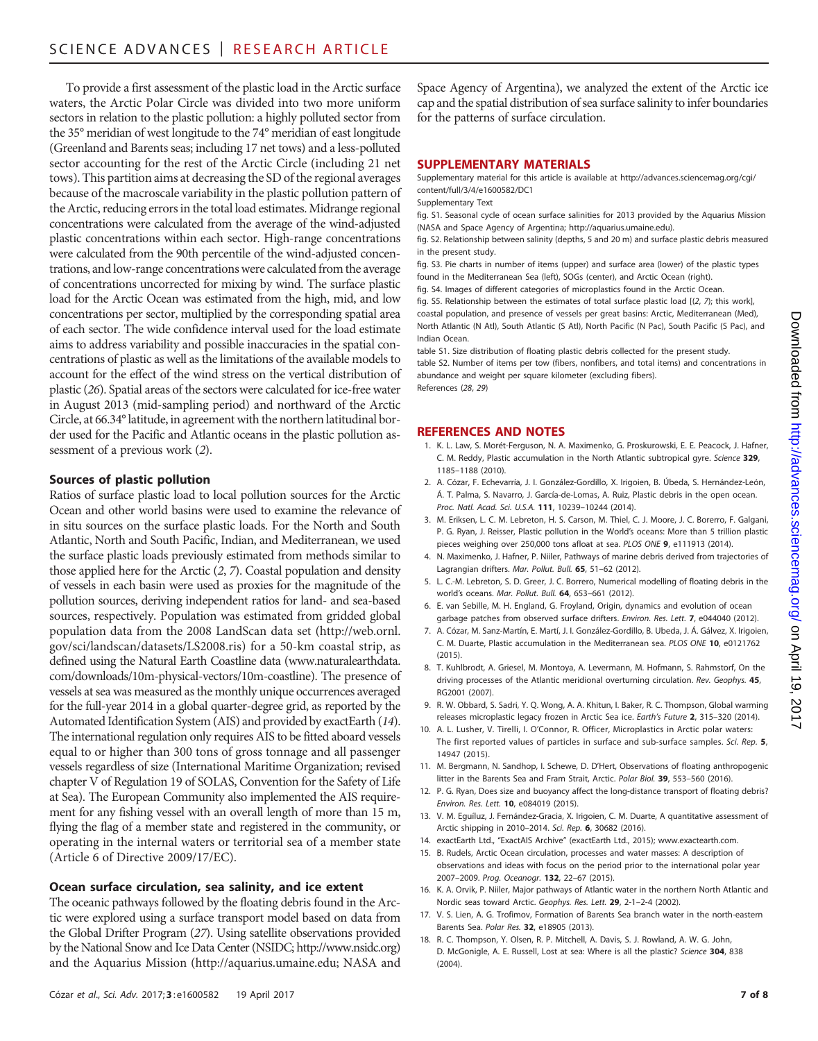To provide a first assessment of the plastic load in the Arctic surface waters, the Arctic Polar Circle was divided into two more uniform sectors in relation to the plastic pollution: a highly polluted sector from the 35° meridian of west longitude to the 74° meridian of east longitude (Greenland and Barents seas; including 17 net tows) and a less-polluted sector accounting for the rest of the Arctic Circle (including 21 net tows). This partition aims at decreasing the SD of the regional averages because of the macroscale variability in the plastic pollution pattern of the Arctic, reducing errors in the total load estimates. Midrange regional concentrations were calculated from the average of the wind-adjusted plastic concentrations within each sector. High-range concentrations were calculated from the 90th percentile of the wind-adjusted concentrations, and low-range concentrations were calculated from the average of concentrations uncorrected for mixing by wind. The surface plastic load for the Arctic Ocean was estimated from the high, mid, and low concentrations per sector, multiplied by the corresponding spatial area of each sector. The wide confidence interval used for the load estimate aims to address variability and possible inaccuracies in the spatial concentrations of plastic as well as the limitations of the available models to account for the effect of the wind stress on the vertical distribution of plastic (26). Spatial areas of the sectors were calculated for ice-free water in August 2013 (mid-sampling period) and northward of the Arctic Circle, at 66.34° latitude, in agreement with the northern latitudinal border used for the Pacific and Atlantic oceans in the plastic pollution assessment of a previous work (2).

# Sources of plastic pollution

Ratios of surface plastic load to local pollution sources for the Arctic Ocean and other world basins were used to examine the relevance of in situ sources on the surface plastic loads. For the North and South Atlantic, North and South Pacific, Indian, and Mediterranean, we used the surface plastic loads previously estimated from methods similar to those applied here for the Arctic (2, 7). Coastal population and density of vessels in each basin were used as proxies for the magnitude of the pollution sources, deriving independent ratios for land- and sea-based sources, respectively. Population was estimated from gridded global population data from the 2008 LandScan data set [\(http://web.ornl.](http://web.ornl.gov/sci/landscan/datasets/LS2008.ris) [gov/sci/landscan/datasets/LS2008.ris](http://web.ornl.gov/sci/landscan/datasets/LS2008.ris)) for a 50-km coastal strip, as defined using the Natural Earth Coastline data ([www.naturalearthdata.](http://www.naturalearthdata.com/downloads/10m-physical-vectors/10m-coastline) [com/downloads/10m-physical-vectors/10m-coastline\)](http://www.naturalearthdata.com/downloads/10m-physical-vectors/10m-coastline). The presence of vessels at sea was measured as the monthly unique occurrences averaged for the full-year 2014 in a global quarter-degree grid, as reported by the Automated Identification System (AIS) and provided by exactEarth (14). The international regulation only requires AIS to be fitted aboard vessels equal to or higher than 300 tons of gross tonnage and all passenger vessels regardless of size (International Maritime Organization; revised chapter V of Regulation 19 of SOLAS, Convention for the Safety of Life at Sea). The European Community also implemented the AIS requirement for any fishing vessel with an overall length of more than 15 m, flying the flag of a member state and registered in the community, or operating in the internal waters or territorial sea of a member state (Article 6 of Directive 2009/17/EC).

#### Ocean surface circulation, sea salinity, and ice extent

The oceanic pathways followed by the floating debris found in the Arctic were explored using a surface transport model based on data from the Global Drifter Program (27). Using satellite observations provided by the National Snow and Ice Data Center (NSIDC; [http://www.nsidc.org\)](http://www.nsidc.org) and the Aquarius Mission (<http://aquarius.umaine.edu>; NASA and Space Agency of Argentina), we analyzed the extent of the Arctic ice cap and the spatial distribution of sea surface salinity to infer boundaries for the patterns of surface circulation.

### SUPPLEMENTARY MATERIALS

Supplementary material for this article is available at [http://advances.sciencemag.org/cgi/](http://advances.sciencemag.org/cgi/content/full/3/4/e1600582/DC1) [content/full/3/4/e1600582/DC1](http://advances.sciencemag.org/cgi/content/full/3/4/e1600582/DC1)

Supplementary Text

fig. S1. Seasonal cycle of ocean surface salinities for 2013 provided by the Aquarius Mission (NASA and Space Agency of Argentina; [http://aquarius.umaine.edu\)](http://aquarius.umaine.edu).

fig. S2. Relationship between salinity (depths, 5 and 20 m) and surface plastic debris measured in the present study.

fig. S3. Pie charts in number of items (upper) and surface area (lower) of the plastic types found in the Mediterranean Sea (left), SOGs (center), and Arctic Ocean (right).

fig. S4. Images of different categories of microplastics found in the Arctic Ocean.

fig. S5. Relationship between the estimates of total surface plastic load [(2, 7); this work], coastal population, and presence of vessels per great basins: Arctic, Mediterranean (Med), North Atlantic (N Atl), South Atlantic (S Atl), North Pacific (N Pac), South Pacific (S Pac), and Indian Ocean.

table S1. Size distribution of floating plastic debris collected for the present study. table S2. Number of items per tow (fibers, nonfibers, and total items) and concentrations in abundance and weight per square kilometer (excluding fibers). References (28, 29)

# REFERENCES AND NOTES

- 1. K. L. Law, S. Morét-Ferguson, N. A. Maximenko, G. Proskurowski, E. E. Peacock, J. Hafner, C. M. Reddy, Plastic accumulation in the North Atlantic subtropical gyre. Science 329, 1185–1188 (2010).
- 2. A. Cózar, F. Echevarría, J. I. González-Gordillo, X. Irigoien, B. Úbeda, S. Hernández-León, Á. T. Palma, S. Navarro, J. García-de-Lomas, A. Ruiz, Plastic debris in the open ocean. Proc. Natl. Acad. Sci. U.S.A. 111, 10239–10244 (2014).
- 3. M. Eriksen, L. C. M. Lebreton, H. S. Carson, M. Thiel, C. J. Moore, J. C. Borerro, F. Galgani, P. G. Ryan, J. Reisser, Plastic pollution in the World's oceans: More than 5 trillion plastic pieces weighing over 250,000 tons afloat at sea. PLOS ONE 9, e111913 (2014).
- 4. N. Maximenko, J. Hafner, P. Niiler, Pathways of marine debris derived from trajectories of Lagrangian drifters. Mar. Pollut. Bull. 65, 51–62 (2012).
- 5. L. C.-M. Lebreton, S. D. Greer, J. C. Borrero, Numerical modelling of floating debris in the world's oceans. Mar. Pollut. Bull. 64, 653–661 (2012).
- 6. E. van Sebille, M. H. England, G. Froyland, Origin, dynamics and evolution of ocean garbage patches from observed surface drifters. Environ. Res. Lett. 7, e044040 (2012).
- 7. A. Cózar, M. Sanz-Martín, E. Martí, J. I. González-Gordillo, B. Ubeda, J. Á. Gálvez, X. Irigoien, C. M. Duarte, Plastic accumulation in the Mediterranean sea. PLOS ONE 10, e0121762 (2015).
- 8. T. Kuhlbrodt, A. Griesel, M. Montoya, A. Levermann, M. Hofmann, S. Rahmstorf, On the driving processes of the Atlantic meridional overturning circulation. Rev. Geophys. 45, RG2001 (2007).
- 9. R. W. Obbard, S. Sadri, Y. Q. Wong, A. A. Khitun, I. Baker, R. C. Thompson, Global warming releases microplastic legacy frozen in Arctic Sea ice. Earth's Future 2, 315–320 (2014).
- 10. A. L. Lusher, V. Tirelli, I. O'Connor, R. Officer, Microplastics in Arctic polar waters: The first reported values of particles in surface and sub-surface samples. Sci. Rep. 5, 14947 (2015).
- 11. M. Bergmann, N. Sandhop, I. Schewe, D. D'Hert, Observations of floating anthropogenic litter in the Barents Sea and Fram Strait, Arctic. Polar Biol. 39, 553–560 (2016).
- 12. P. G. Ryan, Does size and buoyancy affect the long-distance transport of floating debris? Environ. Res. Lett. 10, e084019 (2015).
- 13. V. M. Eguíluz, J. Fernández-Gracia, X. Irigoien, C. M. Duarte, A quantitative assessment of Arctic shipping in 2010–2014. Sci. Rep. 6, 30682 (2016).
- 14. exactEarth Ltd., "ExactAIS Archive" (exactEarth Ltd., 2015); [www.exactearth.com](http://www.exactearth.com).
- 15. B. Rudels, Arctic Ocean circulation, processes and water masses: A description of observations and ideas with focus on the period prior to the international polar year 2007–2009. Prog. Oceanogr. 132, 22–67 (2015).
- 16. K. A. Orvik, P. Niiler, Major pathways of Atlantic water in the northern North Atlantic and Nordic seas toward Arctic. Geophys. Res. Lett. 29, 2-1–2-4 (2002).
- 17. V. S. Lien, A. G. Trofimov, Formation of Barents Sea branch water in the north-eastern Barents Sea. Polar Res. 32, e18905 (2013).
- 18. R. C. Thompson, Y. Olsen, R. P. Mitchell, A. Davis, S. J. Rowland, A. W. G. John, D. McGonigle, A. E. Russell, Lost at sea: Where is all the plastic? Science 304, 838  $(2004)$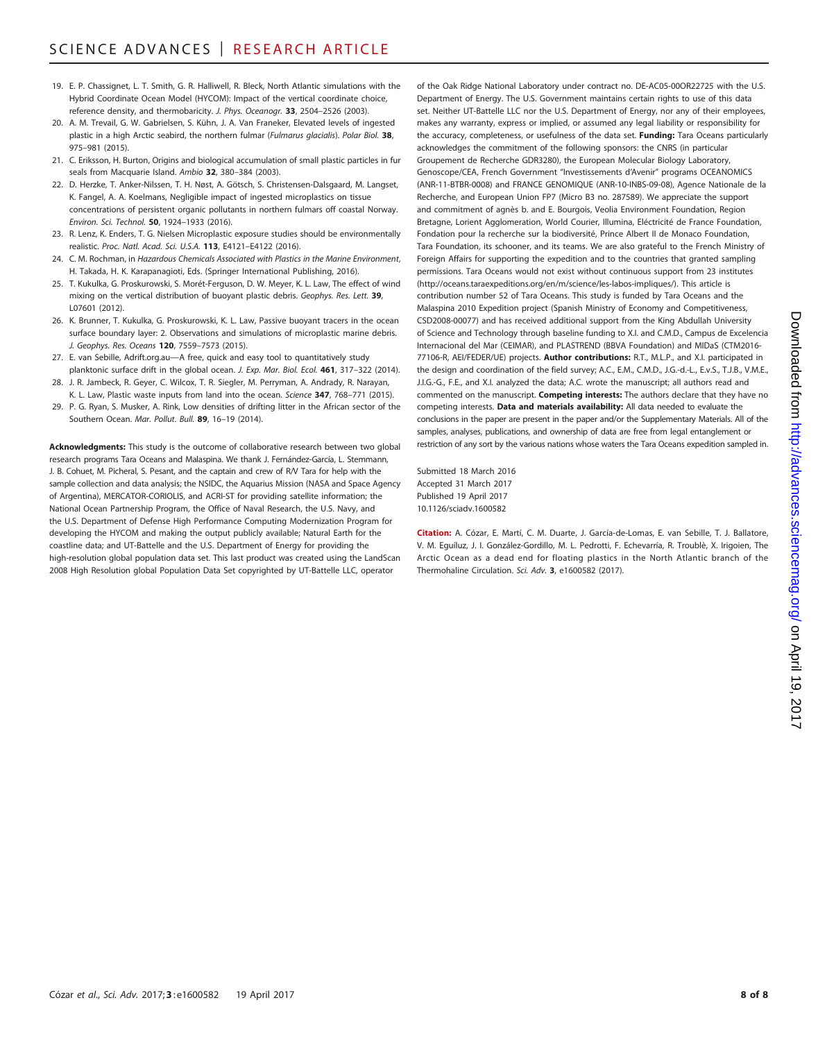- 19. E. P. Chassignet, L. T. Smith, G. R. Halliwell, R. Bleck, North Atlantic simulations with the Hybrid Coordinate Ocean Model (HYCOM): Impact of the vertical coordinate choice, reference density, and thermobaricity. J. Phys. Oceanogr. 33, 2504-2526 (2003).
- 20. A. M. Trevail, G. W. Gabrielsen, S. Kühn, J. A. Van Franeker, Elevated levels of ingested plastic in a high Arctic seabird, the northern fulmar (Fulmarus glacialis). Polar Biol. 38, 975–981 (2015).
- 21. C. Eriksson, H. Burton, Origins and biological accumulation of small plastic particles in fur seals from Macquarie Island. Ambio 32, 380-384 (2003).
- 22. D. Herzke, T. Anker-Nilssen, T. H. Nøst, A. Götsch, S. Christensen-Dalsgaard, M. Langset, K. Fangel, A. A. Koelmans, Negligible impact of ingested microplastics on tissue concentrations of persistent organic pollutants in northern fulmars off coastal Norway. Environ. Sci. Technol. 50, 1924–1933 (2016).
- 23. R. Lenz, K. Enders, T. G. Nielsen Microplastic exposure studies should be environmentally realistic. Proc. Natl. Acad. Sci. U.S.A. 113, E4121–E4122 (2016).
- 24. C. M. Rochman, in Hazardous Chemicals Associated with Plastics in the Marine Environment, H. Takada, H. K. Karapanagioti, Eds. (Springer International Publishing, 2016).
- 25. T. Kukulka, G. Proskurowski, S. Morét-Ferguson, D. W. Meyer, K. L. Law, The effect of wind mixing on the vertical distribution of buoyant plastic debris. Geophys. Res. Lett. 39, L07601 (2012).
- 26. K. Brunner, T. Kukulka, G. Proskurowski, K. L. Law, Passive buoyant tracers in the ocean surface boundary layer: 2. Observations and simulations of microplastic marine debris. J. Geophys. Res. Oceans 120, 7559–7573 (2015).
- 27. E. van Sebille, Adrift.org.au—A free, quick and easy tool to quantitatively study planktonic surface drift in the global ocean. J. Exp. Mar. Biol. Ecol. 461, 317-322 (2014).
- 28. J. R. Jambeck, R. Geyer, C. Wilcox, T. R. Siegler, M. Perryman, A. Andrady, R. Narayan, K. L. Law, Plastic waste inputs from land into the ocean. Science 347, 768-771 (2015).
- 29. P. G. Ryan, S. Musker, A. Rink, Low densities of drifting litter in the African sector of the Southern Ocean. Mar. Pollut. Bull. 89, 16–19 (2014).

Acknowledgments: This study is the outcome of collaborative research between two global research programs Tara Oceans and Malaspina. We thank J. Fernández-García, L. Stemmann, J. B. Cohuet, M. Picheral, S. Pesant, and the captain and crew of R/V Tara for help with the sample collection and data analysis; the NSIDC, the Aquarius Mission (NASA and Space Agency of Argentina), MERCATOR-CORIOLIS, and ACRI-ST for providing satellite information; the National Ocean Partnership Program, the Office of Naval Research, the U.S. Navy, and the U.S. Department of Defense High Performance Computing Modernization Program for developing the HYCOM and making the output publicly available; Natural Earth for the coastline data; and UT-Battelle and the U.S. Department of Energy for providing the high-resolution global population data set. This last product was created using the LandScan 2008 High Resolution global Population Data Set copyrighted by UT-Battelle LLC, operator

of the Oak Ridge National Laboratory under contract no. DE-AC05-00OR22725 with the U.S. Department of Energy. The U.S. Government maintains certain rights to use of this data set. Neither UT-Battelle LLC nor the U.S. Department of Energy, nor any of their employees, makes any warranty, express or implied, or assumed any legal liability or responsibility for the accuracy, completeness, or usefulness of the data set. Funding: Tara Oceans particularly acknowledges the commitment of the following sponsors: the CNRS (in particular Groupement de Recherche GDR3280), the European Molecular Biology Laboratory, Genoscope/CEA, French Government "Investissements d'Avenir" programs OCEANOMICS (ANR-11-BTBR-0008) and FRANCE GENOMIQUE (ANR-10-INBS-09-08), Agence Nationale de la Recherche, and European Union FP7 (Micro B3 no. 287589). We appreciate the support and commitment of agnès b. and E. Bourgois, Veolia Environment Foundation, Region Bretagne, Lorient Agglomeration, World Courier, Illumina, Eléctricité de France Foundation, Fondation pour la recherche sur la biodiversité, Prince Albert II de Monaco Foundation, Tara Foundation, its schooner, and its teams. We are also grateful to the French Ministry of Foreign Affairs for supporting the expedition and to the countries that granted sampling permissions. Tara Oceans would not exist without continuous support from 23 institutes ([http://oceans.taraexpeditions.org/en/m/science/les-labos-impliques/\)](http://oceans.taraexpeditions.org/en/m/science/les-labos-impliques/). This article is contribution number 52 of Tara Oceans. This study is funded by Tara Oceans and the Malaspina 2010 Expedition project (Spanish Ministry of Economy and Competitiveness, CSD2008-00077) and has received additional support from the King Abdullah University of Science and Technology through baseline funding to X.I. and C.M.D., Campus de Excelencia Internacional del Mar (CEIMAR), and PLASTREND (BBVA Foundation) and MIDaS (CTM2016- 77106-R, AEI/FEDER/UE) projects. Author contributions: R.T., M.L.P., and X.I. participated in the design and coordination of the field survey; A.C., E.M., C.M.D., J.G.-d.-L., E.v.S., T.J.B., V.M.E., J.I.G.-G., F.E., and X.I. analyzed the data; A.C. wrote the manuscript; all authors read and commented on the manuscript. Competing interests: The authors declare that they have no competing interests. Data and materials availability: All data needed to evaluate the conclusions in the paper are present in the paper and/or the Supplementary Materials. All of the samples, analyses, publications, and ownership of data are free from legal entanglement or restriction of any sort by the various nations whose waters the Tara Oceans expedition sampled in.

Submitted 18 March 2016 Accepted 31 March 2017 Published 19 April 2017 10.1126/sciadv.1600582

Citation: A. Cózar, E. Martí, C. M. Duarte, J. García-de-Lomas, E. van Sebille, T. J. Ballatore, V. M. Eguíluz, J. I. González-Gordillo, M. L. Pedrotti, F. Echevarría, R. Troublè, X. Irigoien, The Arctic Ocean as a dead end for floating plastics in the North Atlantic branch of the Thermohaline Circulation. Sci. Adv. 3, e1600582 (2017).